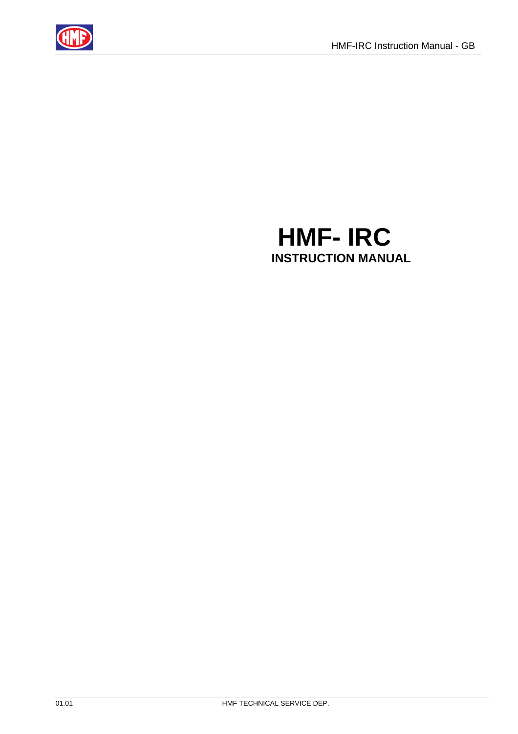

# **HMF- IRC INSTRUCTION MANUAL**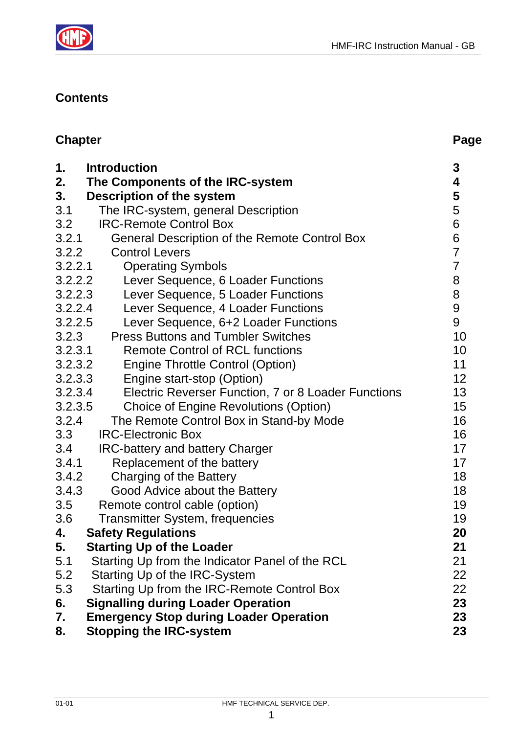



#### **Contents**

| <b>Chapter</b> |                                                                                             | Page           |
|----------------|---------------------------------------------------------------------------------------------|----------------|
| 1.<br>2.<br>3. | <b>Introduction</b><br>The Components of the IRC-system<br><b>Description of the system</b> | 3<br>4<br>5    |
| 3.1            | The IRC-system, general Description                                                         | 5              |
| 3.2            | <b>IRC-Remote Control Box</b>                                                               | 6              |
| 3.2.1          | <b>General Description of the Remote Control Box</b>                                        | 6              |
| 3.2.2          | <b>Control Levers</b>                                                                       | $\overline{7}$ |
| 3.2.2.1        | <b>Operating Symbols</b>                                                                    | $\overline{7}$ |
| 3.2.2.2        | Lever Sequence, 6 Loader Functions                                                          | 8              |
| 3.2.2.3        | Lever Sequence, 5 Loader Functions                                                          | 8              |
| 3.2.2.4        | Lever Sequence, 4 Loader Functions                                                          | 9              |
| 3.2.2.5        | Lever Sequence, 6+2 Loader Functions                                                        | 9              |
| 3.2.3          | <b>Press Buttons and Tumbler Switches</b>                                                   | 10             |
| 3.2.3.1        | <b>Remote Control of RCL functions</b>                                                      | 10             |
| 3.2.3.2        | <b>Engine Throttle Control (Option)</b>                                                     | 11             |
| 3.2.3.3        | Engine start-stop (Option)                                                                  | 12             |
| 3.2.3.4        | Electric Reverser Function, 7 or 8 Loader Functions                                         | 13             |
| 3.2.3.5        | <b>Choice of Engine Revolutions (Option)</b>                                                | 15             |
| 3.2.4          | The Remote Control Box in Stand-by Mode                                                     | 16             |
| 3.3            | <b>IRC-Electronic Box</b>                                                                   | 16             |
| 3.4            | <b>IRC-battery and battery Charger</b>                                                      | 17             |
| 3.4.1          | Replacement of the battery                                                                  | 17             |
| 3.4.2          | Charging of the Battery                                                                     | 18             |
| 3.4.3          | Good Advice about the Battery                                                               | 18             |
| 3.5            | Remote control cable (option)                                                               | 19             |
| 3.6            | <b>Transmitter System, frequencies</b>                                                      | 19             |
| 4.             | <b>Safety Regulations</b>                                                                   | 20             |
| 5.             | <b>Starting Up of the Loader</b>                                                            | 21             |
| 5.1            | Starting Up from the Indicator Panel of the RCL                                             | 21             |
| 5.2            | Starting Up of the IRC-System                                                               | 22             |
| 5.3            | Starting Up from the IRC-Remote Control Box                                                 | 22             |
| 6.             | <b>Signalling during Loader Operation</b>                                                   | 23             |
| 7.             | <b>Emergency Stop during Loader Operation</b>                                               | 23             |
| 8.             | <b>Stopping the IRC-system</b>                                                              | 23             |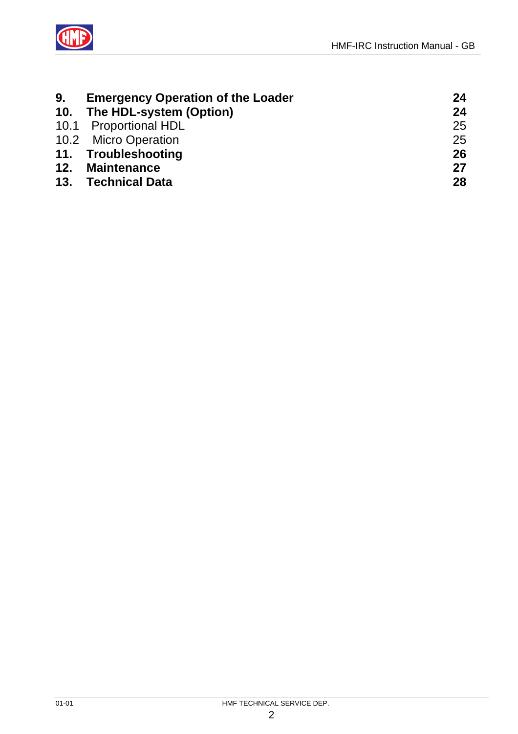



| 9. | <b>Emergency Operation of the Loader</b> | 24 |
|----|------------------------------------------|----|
|    | 10. The HDL-system (Option)              | 24 |
|    | 10.1 Proportional HDL                    | 25 |
|    | 10.2 Micro Operation                     | 25 |
|    | 11. Troubleshooting                      | 26 |
|    | 12. Maintenance                          | 27 |
|    | 13. Technical Data                       | 28 |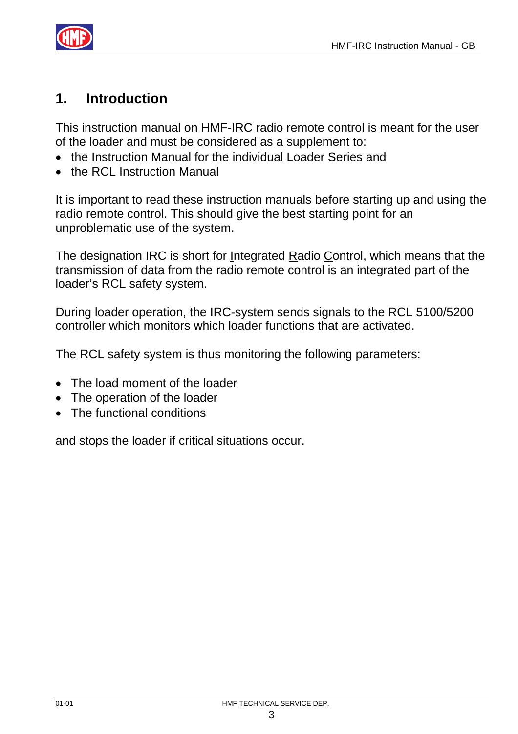

### **1. Introduction**

This instruction manual on HMF-IRC radio remote control is meant for the user of the loader and must be considered as a supplement to:

- the Instruction Manual for the individual Loader Series and
- the RCL Instruction Manual

It is important to read these instruction manuals before starting up and using the radio remote control. This should give the best starting point for an unproblematic use of the system.

The designation IRC is short for Integrated Radio Control, which means that the transmission of data from the radio remote control is an integrated part of the loader's RCL safety system.

During loader operation, the IRC-system sends signals to the RCL 5100/5200 controller which monitors which loader functions that are activated.

The RCL safety system is thus monitoring the following parameters:

- The load moment of the loader
- The operation of the loader
- The functional conditions

and stops the loader if critical situations occur.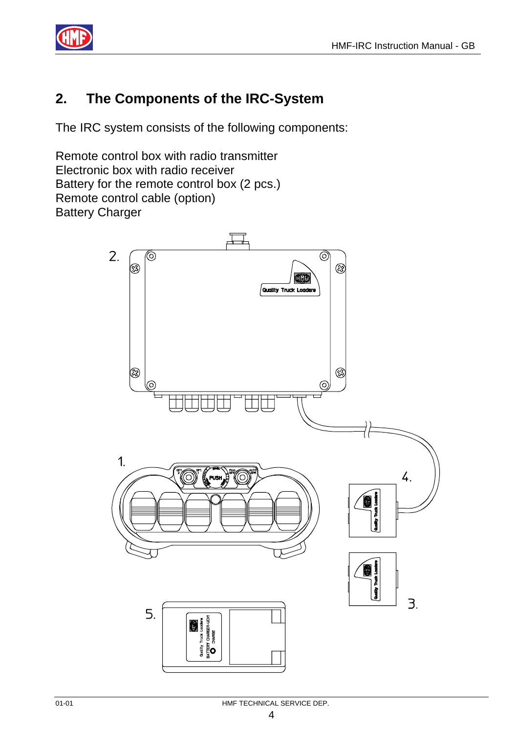

# **2. The Components of the IRC-System**

The IRC system consists of the following components:

Remote control box with radio transmitter Electronic box with radio receiver Battery for the remote control box (2 pcs.) Remote control cable (option) Battery Charger

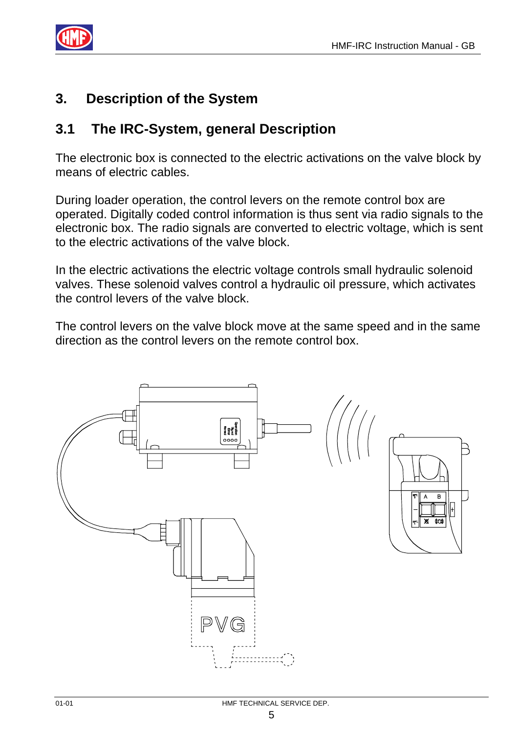

#### **3. Description of the System**

#### **3.1 The IRC-System, general Description**

The electronic box is connected to the electric activations on the valve block by means of electric cables.

During loader operation, the control levers on the remote control box are operated. Digitally coded control information is thus sent via radio signals to the electronic box. The radio signals are converted to electric voltage, which is sent to the electric activations of the valve block.

In the electric activations the electric voltage controls small hydraulic solenoid valves. These solenoid valves control a hydraulic oil pressure, which activates the control levers of the valve block.

The control levers on the valve block move at the same speed and in the same direction as the control levers on the remote control box.

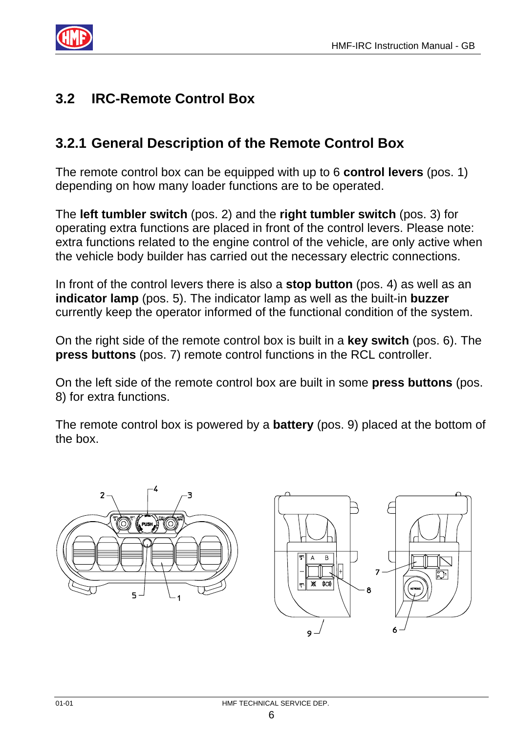

# **3.2 IRC-Remote Control Box**

#### **3.2.1 General Description of the Remote Control Box**

The remote control box can be equipped with up to 6 **control levers** (pos. 1) depending on how many loader functions are to be operated.

The **left tumbler switch** (pos. 2) and the **right tumbler switch** (pos. 3) for operating extra functions are placed in front of the control levers. Please note: extra functions related to the engine control of the vehicle, are only active when the vehicle body builder has carried out the necessary electric connections.

In front of the control levers there is also a **stop button** (pos. 4) as well as an **indicator lamp** (pos. 5). The indicator lamp as well as the built-in **buzzer** currently keep the operator informed of the functional condition of the system.

On the right side of the remote control box is built in a **key switch** (pos. 6). The **press buttons** (pos. 7) remote control functions in the RCL controller.

On the left side of the remote control box are built in some **press buttons** (pos. 8) for extra functions.

The remote control box is powered by a **battery** (pos. 9) placed at the bottom of the box.



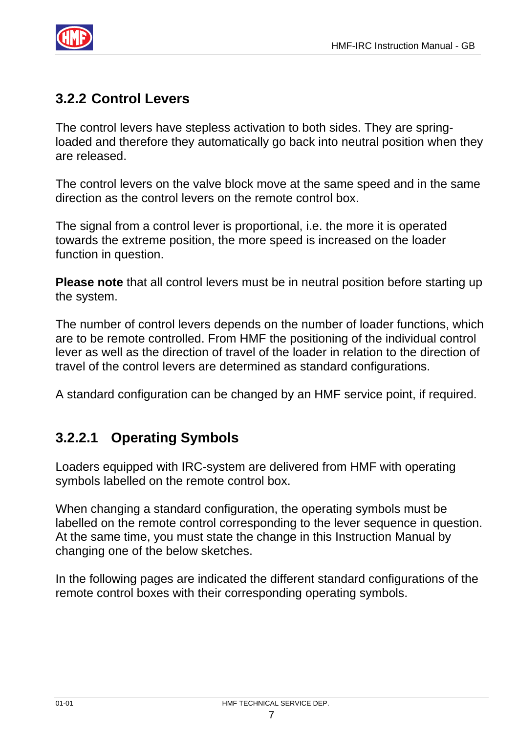

# **3.2.2 Control Levers**

The control levers have stepless activation to both sides. They are springloaded and therefore they automatically go back into neutral position when they are released.

The control levers on the valve block move at the same speed and in the same direction as the control levers on the remote control box.

The signal from a control lever is proportional, i.e. the more it is operated towards the extreme position, the more speed is increased on the loader function in question.

**Please note** that all control levers must be in neutral position before starting up the system.

The number of control levers depends on the number of loader functions, which are to be remote controlled. From HMF the positioning of the individual control lever as well as the direction of travel of the loader in relation to the direction of travel of the control levers are determined as standard configurations.

A standard configuration can be changed by an HMF service point, if required.

#### **3.2.2.1 Operating Symbols**

Loaders equipped with IRC-system are delivered from HMF with operating symbols labelled on the remote control box.

When changing a standard configuration, the operating symbols must be labelled on the remote control corresponding to the lever sequence in question. At the same time, you must state the change in this Instruction Manual by changing one of the below sketches.

In the following pages are indicated the different standard configurations of the remote control boxes with their corresponding operating symbols.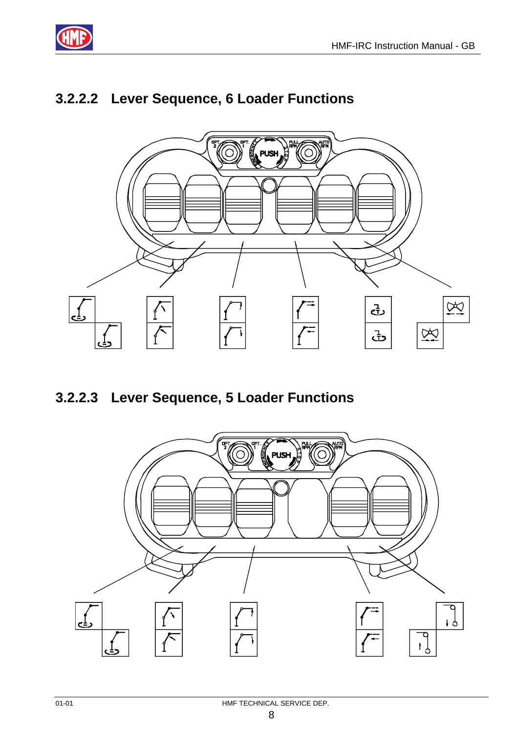

# **3.2.2.2 Lever Sequence, 6 Loader Functions**



**3.2.2.3 Lever Sequence, 5 Loader Functions** 

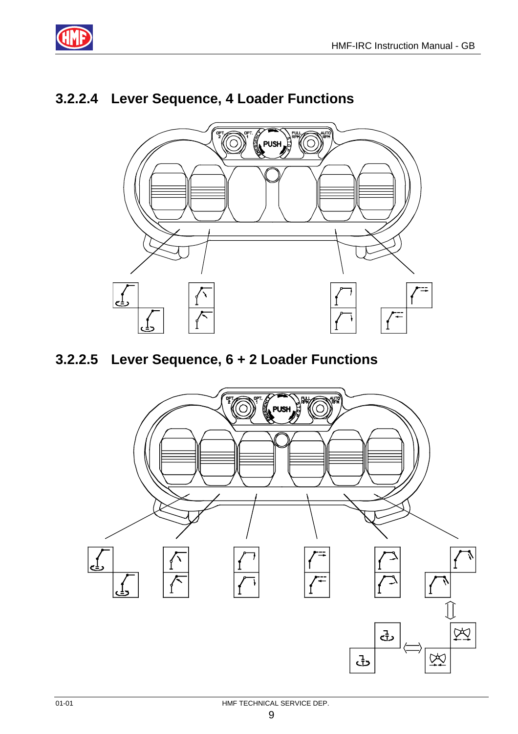

# **3.2.2.4 Lever Sequence, 4 Loader Functions**



#### **3.2.2.5 Lever Sequence, 6 + 2 Loader Functions**

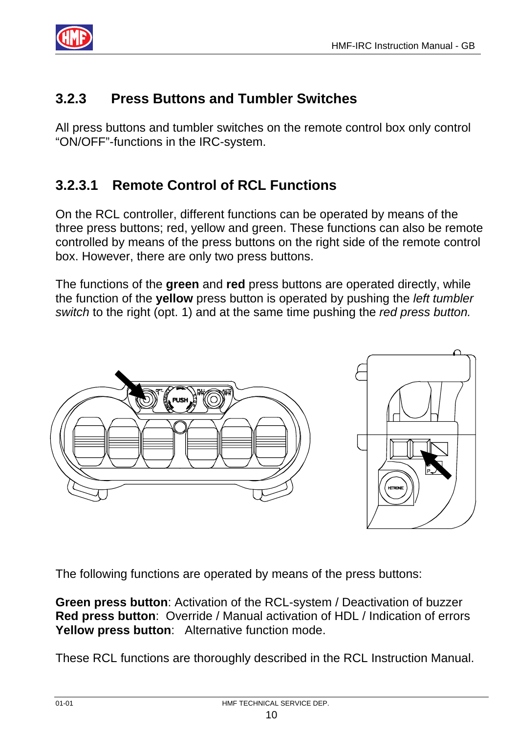

# **3.2.3 Press Buttons and Tumbler Switches**

All press buttons and tumbler switches on the remote control box only control "ON/OFF"-functions in the IRC-system.

## **3.2.3.1 Remote Control of RCL Functions**

On the RCL controller, different functions can be operated by means of the three press buttons; red, yellow and green. These functions can also be remote controlled by means of the press buttons on the right side of the remote control box. However, there are only two press buttons.

The functions of the **green** and **red** press buttons are operated directly, while the function of the **yellow** press button is operated by pushing the *left tumbler switch* to the right (opt. 1) and at the same time pushing the *red press button.*



The following functions are operated by means of the press buttons:

**Green press button**: Activation of the RCL-system / Deactivation of buzzer **Red press button**: Override / Manual activation of HDL / Indication of errors **Yellow press button**: Alternative function mode.

These RCL functions are thoroughly described in the RCL Instruction Manual.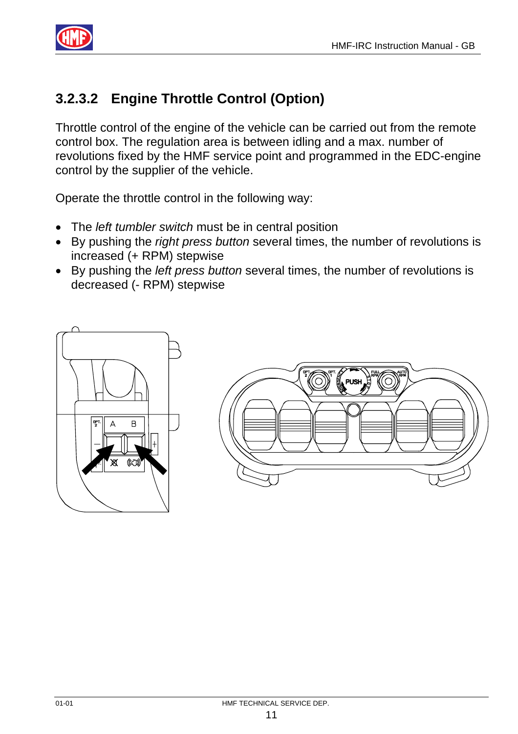

# **3.2.3.2 Engine Throttle Control (Option)**

Throttle control of the engine of the vehicle can be carried out from the remote control box. The regulation area is between idling and a max. number of revolutions fixed by the HMF service point and programmed in the EDC-engine control by the supplier of the vehicle.

Operate the throttle control in the following way:

- The *left tumbler switch* must be in central position
- By pushing the *right press button* several times, the number of revolutions is increased (+ RPM) stepwise
- By pushing the *left press button* several times, the number of revolutions is decreased (- RPM) stepwise



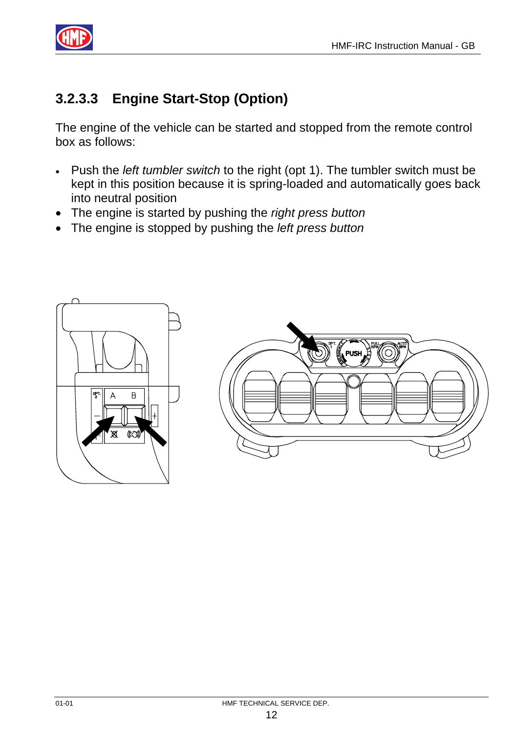

# **3.2.3.3 Engine Start-Stop (Option)**

The engine of the vehicle can be started and stopped from the remote control box as follows:

- Push the *left tumbler switch* to the right (opt 1). The tumbler switch must be kept in this position because it is spring-loaded and automatically goes back into neutral position
- The engine is started by pushing the *right press button*
- The engine is stopped by pushing the *left press button*

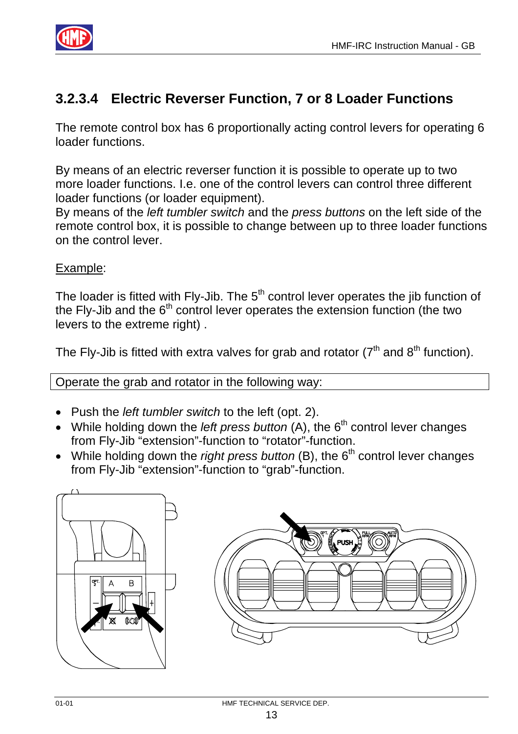

# **3.2.3.4 Electric Reverser Function, 7 or 8 Loader Functions**

The remote control box has 6 proportionally acting control levers for operating 6 loader functions.

By means of an electric reverser function it is possible to operate up to two more loader functions. I.e. one of the control levers can control three different loader functions (or loader equipment).

By means of the *left tumbler switch* and the *press buttons* on the left side of the remote control box, it is possible to change between up to three loader functions on the control lever.

#### Example:

The loader is fitted with Fly-Jib. The  $5<sup>th</sup>$  control lever operates the jib function of the Fly-Jib and the 6<sup>th</sup> control lever operates the extension function (the two levers to the extreme right) .

The Fly-Jib is fitted with extra valves for grab and rotator ( $7<sup>th</sup>$  and  $8<sup>th</sup>$  function).

Operate the grab and rotator in the following way:

- Push the *left tumbler switch* to the left (opt. 2).
- While holding down the *left press button* (A), the 6<sup>th</sup> control lever changes from Fly-Jib "extension"-function to "rotator"-function.
- While holding down the *right press button* (B), the 6<sup>th</sup> control lever changes from Fly-Jib "extension"-function to "grab"-function.



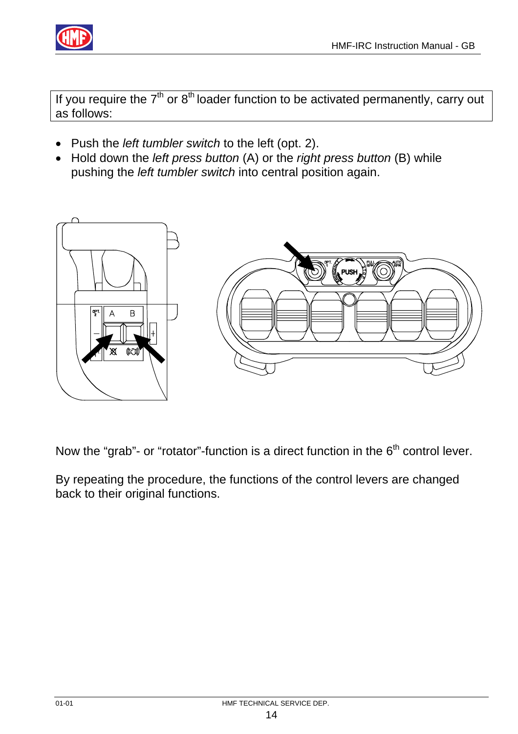

If you require the  $7<sup>th</sup>$  or  $8<sup>th</sup>$  loader function to be activated permanently, carry out as follows:

- Push the *left tumbler switch* to the left (opt. 2).
- Hold down the *left press button* (A) or the *right press button* (B) while pushing the *left tumbler switch* into central position again.



Now the "grab"- or "rotator"-function is a direct function in the  $6<sup>th</sup>$  control lever.

By repeating the procedure, the functions of the control levers are changed back to their original functions.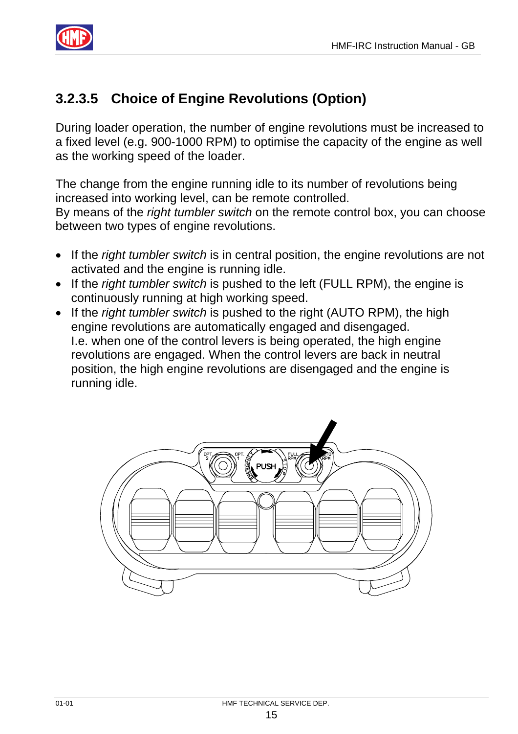

## **3.2.3.5 Choice of Engine Revolutions (Option)**

During loader operation, the number of engine revolutions must be increased to a fixed level (e.g. 900-1000 RPM) to optimise the capacity of the engine as well as the working speed of the loader.

The change from the engine running idle to its number of revolutions being increased into working level, can be remote controlled.

By means of the *right tumbler switch* on the remote control box, you can choose between two types of engine revolutions.

- If the *right tumbler switch* is in central position, the engine revolutions are not activated and the engine is running idle.
- If the *right tumbler switch* is pushed to the left (FULL RPM), the engine is continuously running at high working speed.
- If the *right tumbler switch* is pushed to the right (AUTO RPM), the high engine revolutions are automatically engaged and disengaged. I.e. when one of the control levers is being operated, the high engine revolutions are engaged. When the control levers are back in neutral position, the high engine revolutions are disengaged and the engine is running idle.

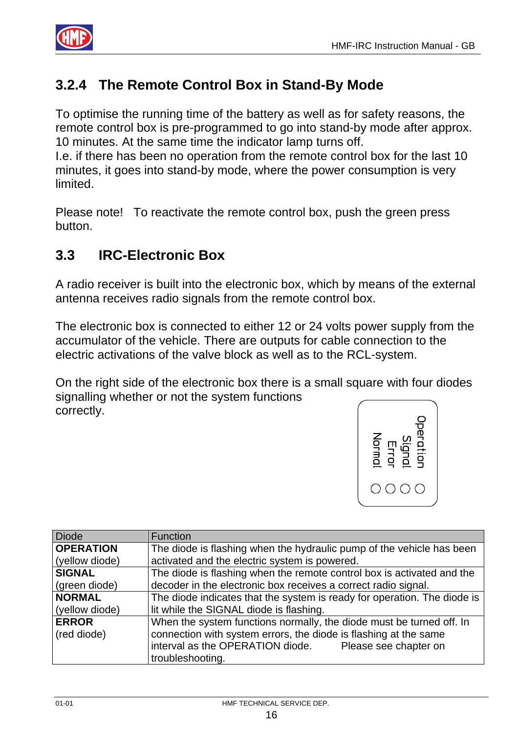

### **3.2.4 The Remote Control Box in Stand-By Mode**

To optimise the running time of the battery as well as for safety reasons, the remote control box is pre-programmed to go into stand-by mode after approx. 10 minutes. At the same time the indicator lamp turns off.

I.e. if there has been no operation from the remote control box for the last 10 minutes, it goes into stand-by mode, where the power consumption is very limited.

Please note! To reactivate the remote control box, push the green press button.

#### **3.3 IRC-Electronic Box**

A radio receiver is built into the electronic box, which by means of the external antenna receives radio signals from the remote control box.

The electronic box is connected to either 12 or 24 volts power supply from the accumulator of the vehicle. There are outputs for cable connection to the electric activations of the valve block as well as to the RCL-system.

On the right side of the electronic box there is a small square with four diodes signalling whether or not the system functions correctly.



| <b>Diode</b>     | Function                                                                 |  |
|------------------|--------------------------------------------------------------------------|--|
| <b>OPERATION</b> | The diode is flashing when the hydraulic pump of the vehicle has been    |  |
| (yellow diode)   | activated and the electric system is powered.                            |  |
| <b>SIGNAL</b>    | The diode is flashing when the remote control box is activated and the   |  |
| (green diode)    | decoder in the electronic box receives a correct radio signal.           |  |
| <b>NORMAL</b>    | The diode indicates that the system is ready for operation. The diode is |  |
| (yellow diode)   | lit while the SIGNAL diode is flashing.                                  |  |
| <b>ERROR</b>     | When the system functions normally, the diode must be turned off. In     |  |
| (red diode)      | connection with system errors, the diode is flashing at the same         |  |
|                  | interval as the OPERATION diode. Please see chapter on                   |  |
|                  | troubleshooting.                                                         |  |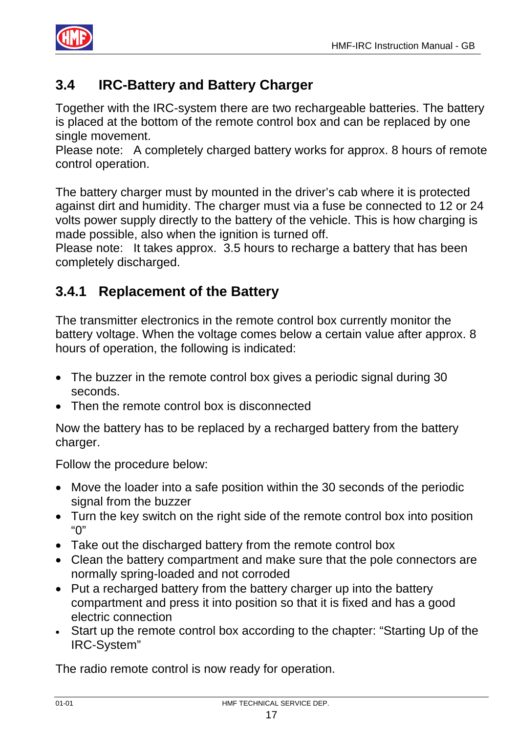

#### **3.4 IRC-Battery and Battery Charger**

Together with the IRC-system there are two rechargeable batteries. The battery is placed at the bottom of the remote control box and can be replaced by one single movement.

Please note: A completely charged battery works for approx. 8 hours of remote control operation.

The battery charger must by mounted in the driver's cab where it is protected against dirt and humidity. The charger must via a fuse be connected to 12 or 24 volts power supply directly to the battery of the vehicle. This is how charging is made possible, also when the ignition is turned off.

Please note: It takes approx. 3.5 hours to recharge a battery that has been completely discharged.

#### **3.4.1 Replacement of the Battery**

The transmitter electronics in the remote control box currently monitor the battery voltage. When the voltage comes below a certain value after approx. 8 hours of operation, the following is indicated:

- The buzzer in the remote control box gives a periodic signal during 30 seconds.
- Then the remote control box is disconnected

Now the battery has to be replaced by a recharged battery from the battery charger.

Follow the procedure below:

- Move the loader into a safe position within the 30 seconds of the periodic signal from the buzzer
- Turn the key switch on the right side of the remote control box into position "0"
- Take out the discharged battery from the remote control box
- Clean the battery compartment and make sure that the pole connectors are normally spring-loaded and not corroded
- Put a recharged battery from the battery charger up into the battery compartment and press it into position so that it is fixed and has a good electric connection
- Start up the remote control box according to the chapter: "Starting Up of the IRC-System"

The radio remote control is now ready for operation.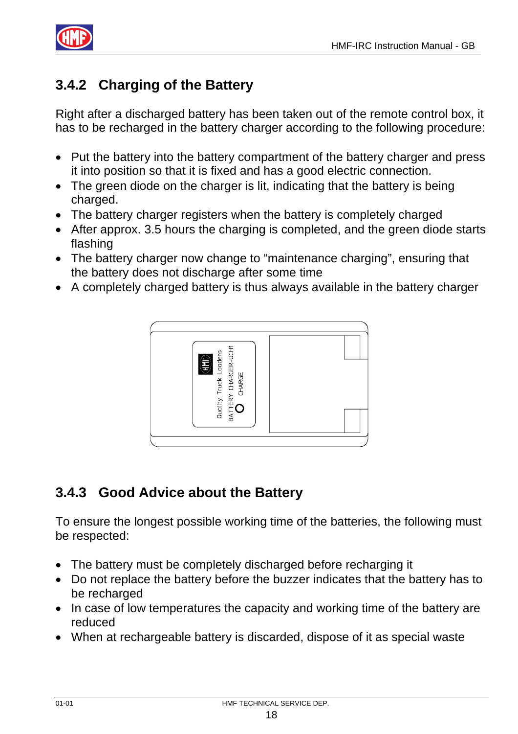

# **3.4.2 Charging of the Battery**

Right after a discharged battery has been taken out of the remote control box, it has to be recharged in the battery charger according to the following procedure:

- Put the battery into the battery compartment of the battery charger and press it into position so that it is fixed and has a good electric connection.
- The green diode on the charger is lit, indicating that the battery is being charged.
- The battery charger registers when the battery is completely charged
- After approx. 3.5 hours the charging is completed, and the green diode starts flashing
- The battery charger now change to "maintenance charging", ensuring that the battery does not discharge after some time
- A completely charged battery is thus always available in the battery charger



### **3.4.3 Good Advice about the Battery**

To ensure the longest possible working time of the batteries, the following must be respected:

- The battery must be completely discharged before recharging it
- Do not replace the battery before the buzzer indicates that the battery has to be recharged
- In case of low temperatures the capacity and working time of the battery are reduced
- When at rechargeable battery is discarded, dispose of it as special waste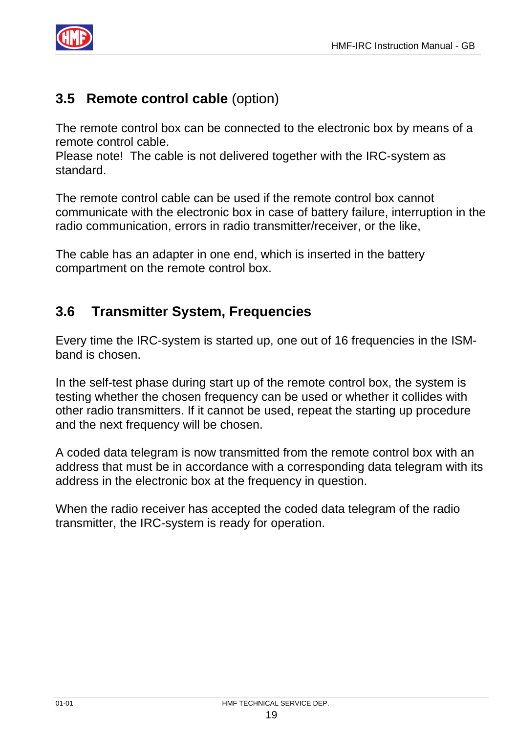

#### **3.5 Remote control cable** (option)

The remote control box can be connected to the electronic box by means of a remote control cable.

Please note! The cable is not delivered together with the IRC-system as standard.

The remote control cable can be used if the remote control box cannot communicate with the electronic box in case of battery failure, interruption in the radio communication, errors in radio transmitter/receiver, or the like,

The cable has an adapter in one end, which is inserted in the battery compartment on the remote control box.

#### **3.6 Transmitter System, Frequencies**

Every time the IRC-system is started up, one out of 16 frequencies in the ISMband is chosen.

In the self-test phase during start up of the remote control box, the system is testing whether the chosen frequency can be used or whether it collides with other radio transmitters. If it cannot be used, repeat the starting up procedure and the next frequency will be chosen.

A coded data telegram is now transmitted from the remote control box with an address that must be in accordance with a corresponding data telegram with its address in the electronic box at the frequency in question.

When the radio receiver has accepted the coded data telegram of the radio transmitter, the IRC-system is ready for operation.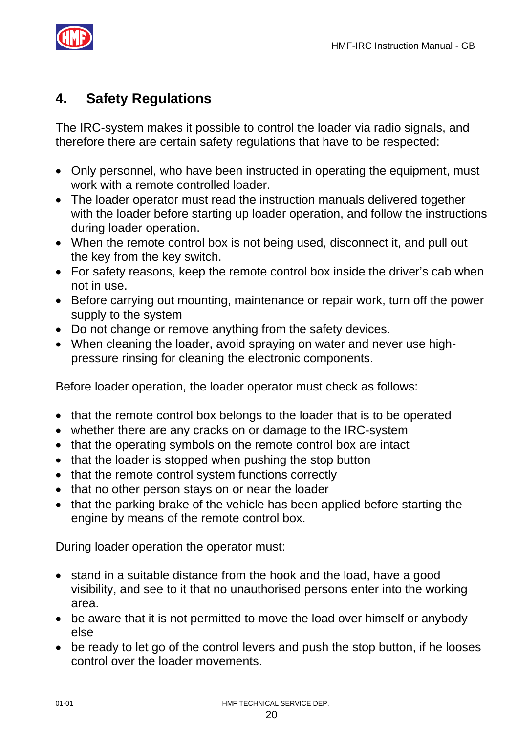

#### **4. Safety Regulations**

The IRC-system makes it possible to control the loader via radio signals, and therefore there are certain safety regulations that have to be respected:

- Only personnel, who have been instructed in operating the equipment, must work with a remote controlled loader.
- The loader operator must read the instruction manuals delivered together with the loader before starting up loader operation, and follow the instructions during loader operation.
- When the remote control box is not being used, disconnect it, and pull out the key from the key switch.
- For safety reasons, keep the remote control box inside the driver's cab when not in use.
- Before carrying out mounting, maintenance or repair work, turn off the power supply to the system
- Do not change or remove anything from the safety devices.
- When cleaning the loader, avoid spraying on water and never use highpressure rinsing for cleaning the electronic components.

Before loader operation, the loader operator must check as follows:

- that the remote control box belongs to the loader that is to be operated
- whether there are any cracks on or damage to the IRC-system
- that the operating symbols on the remote control box are intact
- that the loader is stopped when pushing the stop button
- that the remote control system functions correctly
- that no other person stays on or near the loader
- that the parking brake of the vehicle has been applied before starting the engine by means of the remote control box.

During loader operation the operator must:

- stand in a suitable distance from the hook and the load, have a good visibility, and see to it that no unauthorised persons enter into the working area.
- be aware that it is not permitted to move the load over himself or anybody else
- be ready to let go of the control levers and push the stop button, if he looses control over the loader movements.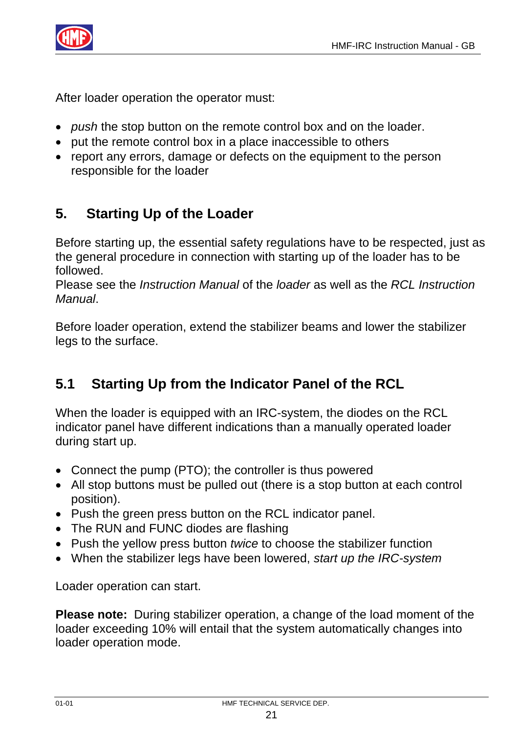

After loader operation the operator must:

- *push* the stop button on the remote control box and on the loader.
- put the remote control box in a place inaccessible to others
- report any errors, damage or defects on the equipment to the person responsible for the loader

# **5. Starting Up of the Loader**

Before starting up, the essential safety regulations have to be respected, just as the general procedure in connection with starting up of the loader has to be followed.

Please see the *Instruction Manual* of the *loader* as well as the *RCL Instruction Manual*.

Before loader operation, extend the stabilizer beams and lower the stabilizer legs to the surface.

### **5.1 Starting Up from the Indicator Panel of the RCL**

When the loader is equipped with an IRC-system, the diodes on the RCL indicator panel have different indications than a manually operated loader during start up.

- Connect the pump (PTO); the controller is thus powered
- All stop buttons must be pulled out (there is a stop button at each control position).
- Push the green press button on the RCL indicator panel.
- The RUN and FUNC diodes are flashing
- Push the yellow press button *twice* to choose the stabilizer function
- When the stabilizer legs have been lowered, *start up the IRC-system*

Loader operation can start.

**Please note:** During stabilizer operation, a change of the load moment of the loader exceeding 10% will entail that the system automatically changes into loader operation mode.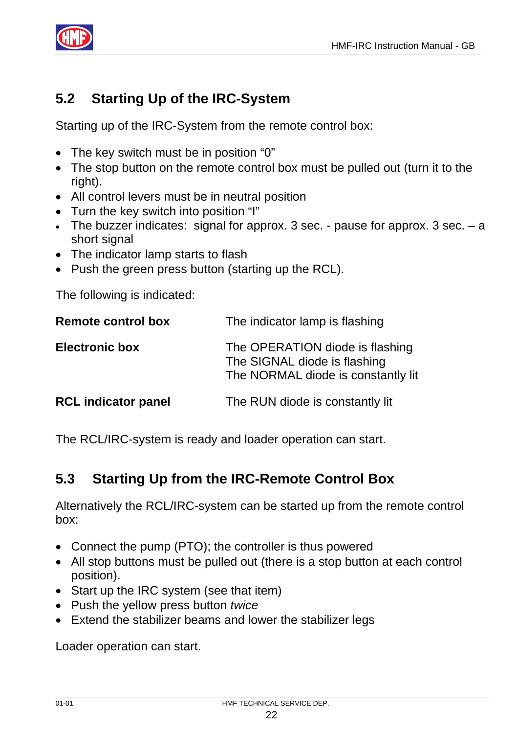

# **5.2 Starting Up of the IRC-System**

Starting up of the IRC-System from the remote control box:

- The key switch must be in position "0"
- The stop button on the remote control box must be pulled out (turn it to the right).
- All control levers must be in neutral position
- Turn the key switch into position "I"
- The buzzer indicates: signal for approx. 3 sec. pause for approx. 3 sec. a short signal
- The indicator lamp starts to flash
- Push the green press button (starting up the RCL).

The following is indicated:

| <b>Remote control box</b>  | The indicator lamp is flashing                                                                        |  |
|----------------------------|-------------------------------------------------------------------------------------------------------|--|
| <b>Electronic box</b>      | The OPERATION diode is flashing<br>The SIGNAL diode is flashing<br>The NORMAL diode is constantly lit |  |
| <b>RCL indicator panel</b> | The RUN diode is constantly lit                                                                       |  |

The RCL/IRC-system is ready and loader operation can start.

### **5.3 Starting Up from the IRC-Remote Control Box**

Alternatively the RCL/IRC-system can be started up from the remote control box:

- Connect the pump (PTO); the controller is thus powered
- All stop buttons must be pulled out (there is a stop button at each control position).
- Start up the IRC system (see that item)
- Push the yellow press button *twice*
- Extend the stabilizer beams and lower the stabilizer legs

Loader operation can start.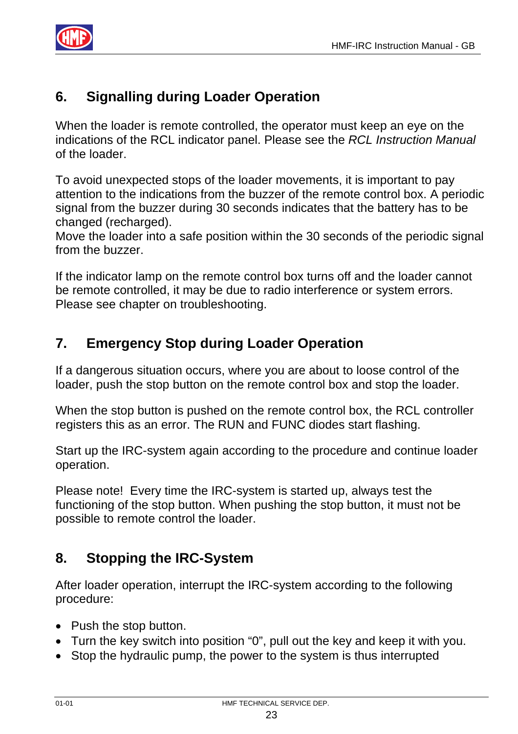

# **6. Signalling during Loader Operation**

When the loader is remote controlled, the operator must keep an eye on the indications of the RCL indicator panel. Please see the *RCL Instruction Manual* of the loader.

To avoid unexpected stops of the loader movements, it is important to pay attention to the indications from the buzzer of the remote control box. A periodic signal from the buzzer during 30 seconds indicates that the battery has to be changed (recharged).

Move the loader into a safe position within the 30 seconds of the periodic signal from the buzzer.

If the indicator lamp on the remote control box turns off and the loader cannot be remote controlled, it may be due to radio interference or system errors. Please see chapter on troubleshooting.

# **7. Emergency Stop during Loader Operation**

If a dangerous situation occurs, where you are about to loose control of the loader, push the stop button on the remote control box and stop the loader.

When the stop button is pushed on the remote control box, the RCL controller registers this as an error. The RUN and FUNC diodes start flashing.

Start up the IRC-system again according to the procedure and continue loader operation.

Please note! Every time the IRC-system is started up, always test the functioning of the stop button. When pushing the stop button, it must not be possible to remote control the loader.

### **8. Stopping the IRC-System**

After loader operation, interrupt the IRC-system according to the following procedure:

- Push the stop button.
- Turn the key switch into position "0", pull out the key and keep it with you.
- Stop the hydraulic pump, the power to the system is thus interrupted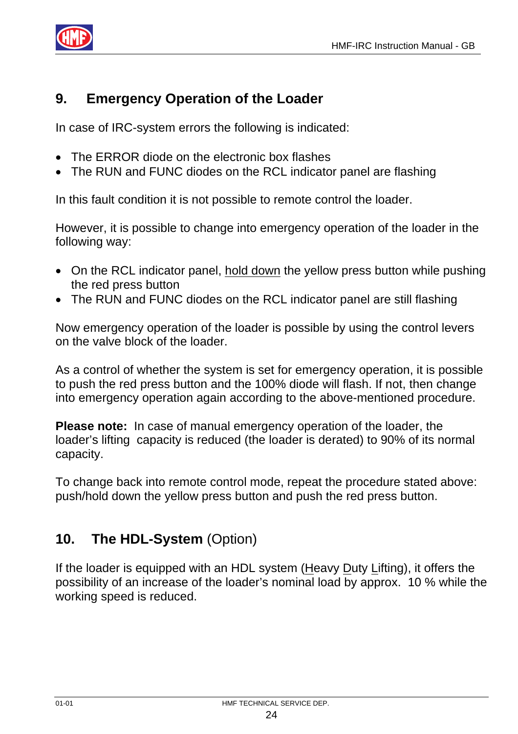

#### **9. Emergency Operation of the Loader**

In case of IRC-system errors the following is indicated:

- The ERROR diode on the electronic box flashes
- The RUN and FUNC diodes on the RCL indicator panel are flashing

In this fault condition it is not possible to remote control the loader.

However, it is possible to change into emergency operation of the loader in the following way:

- On the RCL indicator panel, hold down the yellow press button while pushing the red press button
- The RUN and FUNC diodes on the RCL indicator panel are still flashing

Now emergency operation of the loader is possible by using the control levers on the valve block of the loader.

As a control of whether the system is set for emergency operation, it is possible to push the red press button and the 100% diode will flash. If not, then change into emergency operation again according to the above-mentioned procedure.

**Please note:** In case of manual emergency operation of the loader, the loader's lifting capacity is reduced (the loader is derated) to 90% of its normal capacity.

To change back into remote control mode, repeat the procedure stated above: push/hold down the yellow press button and push the red press button.

### **10. The HDL-System** (Option)

If the loader is equipped with an HDL system (Heavy Duty Lifting), it offers the possibility of an increase of the loader's nominal load by approx. 10 % while the working speed is reduced.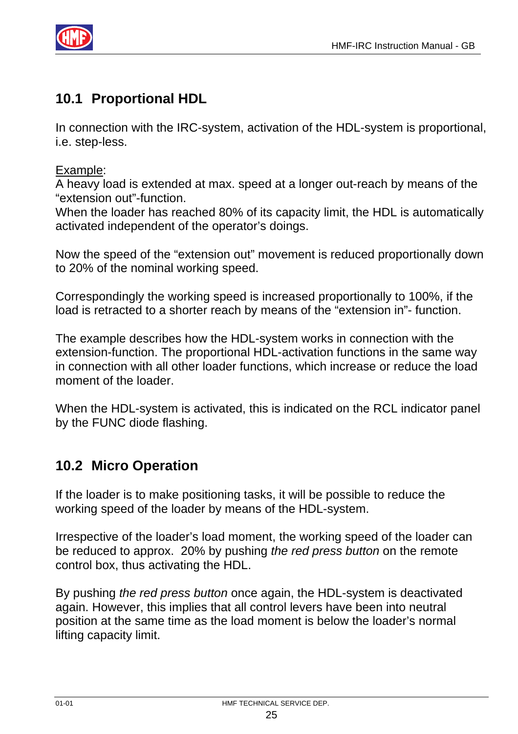

# **10.1 Proportional HDL**

In connection with the IRC-system, activation of the HDL-system is proportional, i.e. step-less.

#### Example:

A heavy load is extended at max. speed at a longer out-reach by means of the "extension out"-function.

When the loader has reached 80% of its capacity limit, the HDL is automatically activated independent of the operator's doings.

Now the speed of the "extension out" movement is reduced proportionally down to 20% of the nominal working speed.

Correspondingly the working speed is increased proportionally to 100%, if the load is retracted to a shorter reach by means of the "extension in"- function.

The example describes how the HDL-system works in connection with the extension-function. The proportional HDL-activation functions in the same way in connection with all other loader functions, which increase or reduce the load moment of the loader.

When the HDL-system is activated, this is indicated on the RCL indicator panel by the FUNC diode flashing.

# **10.2 Micro Operation**

If the loader is to make positioning tasks, it will be possible to reduce the working speed of the loader by means of the HDL-system.

Irrespective of the loader's load moment, the working speed of the loader can be reduced to approx. 20% by pushing *the red press button* on the remote control box, thus activating the HDL.

By pushing *the red press button* once again, the HDL-system is deactivated again. However, this implies that all control levers have been into neutral position at the same time as the load moment is below the loader's normal lifting capacity limit.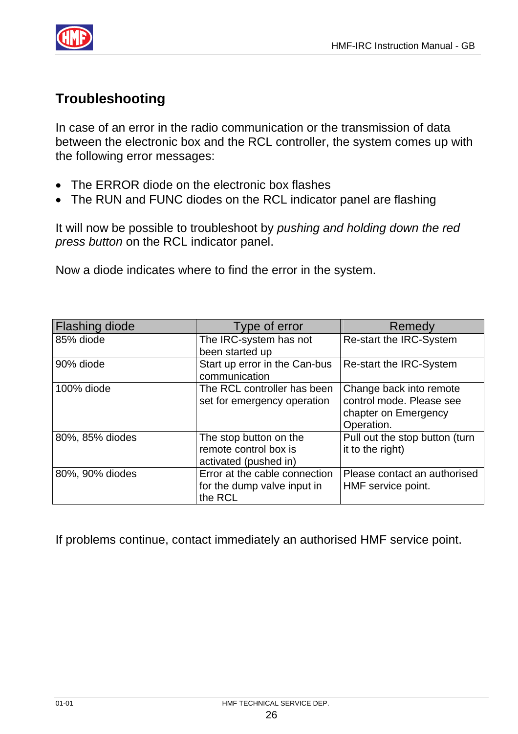

# **Troubleshooting**

In case of an error in the radio communication or the transmission of data between the electronic box and the RCL controller, the system comes up with the following error messages:

- The ERROR diode on the electronic box flashes
- The RUN and FUNC diodes on the RCL indicator panel are flashing

It will now be possible to troubleshoot by *pushing and holding down the red press button* on the RCL indicator panel.

Now a diode indicates where to find the error in the system.

| <b>Flashing diode</b> | Type of error                                                            | Remedy                                                                                    |
|-----------------------|--------------------------------------------------------------------------|-------------------------------------------------------------------------------------------|
| 85% diode             | The IRC-system has not                                                   | Re-start the IRC-System                                                                   |
|                       | been started up                                                          |                                                                                           |
| 90% diode             | Start up error in the Can-bus<br>communication                           | Re-start the IRC-System                                                                   |
| 100% diode            | The RCL controller has been<br>set for emergency operation               | Change back into remote<br>control mode. Please see<br>chapter on Emergency<br>Operation. |
| 80%, 85% diodes       | The stop button on the<br>remote control box is<br>activated (pushed in) | Pull out the stop button (turn<br>it to the right)                                        |
| 80%, 90% diodes       | Error at the cable connection<br>for the dump valve input in<br>the RCL  | Please contact an authorised<br>HMF service point.                                        |

If problems continue, contact immediately an authorised HMF service point.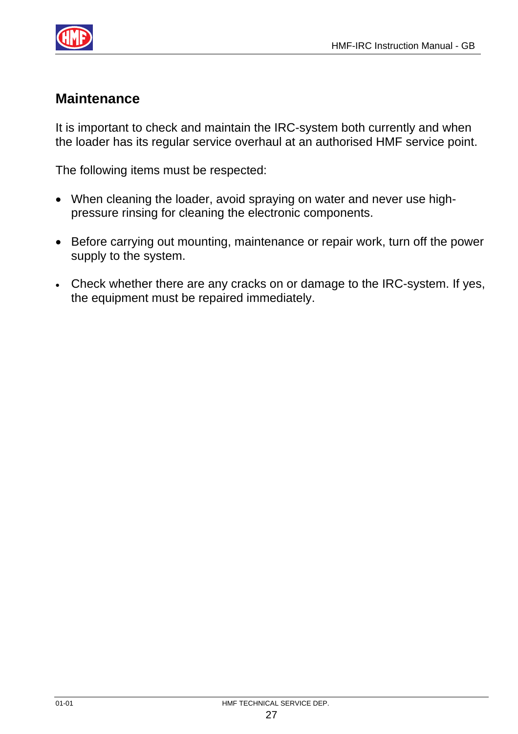

#### **Maintenance**

It is important to check and maintain the IRC-system both currently and when the loader has its regular service overhaul at an authorised HMF service point.

The following items must be respected:

- When cleaning the loader, avoid spraying on water and never use highpressure rinsing for cleaning the electronic components.
- Before carrying out mounting, maintenance or repair work, turn off the power supply to the system.
- Check whether there are any cracks on or damage to the IRC-system. If yes, the equipment must be repaired immediately.